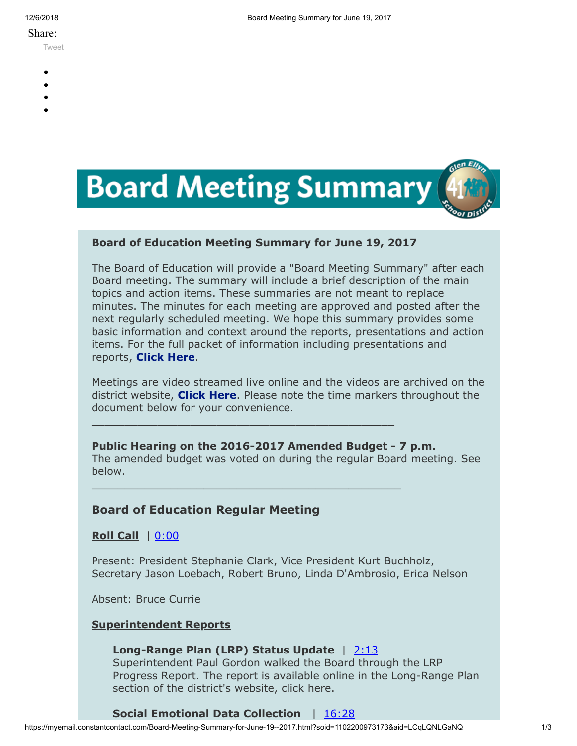#### Share:

[Tweet](https://twitter.com/intent/tweet?original_referer=https%3A%2F%2Fmyemail.constantcontact.com%2FBoard-Meeting-Summary-for-June-19--2017.html%3Fsoid%3D1102200973173%26aid%3DLCqLQNLGaNQ&ref_src=twsrc%5Etfw&text=Board%20Meeting%20Summary%20for%20June%2019%2C%202017&tw_p=tweetbutton&url=https%3A%2F%2Fmyemail.constantcontact.com%2FBoard-Meeting-Summary-for-June-19--2017.html%3Fsoid%3D1102200973173%26aid%3DLCqLQNLGaNQ)

- 
- -
- 
- 



# **Board of Education Meeting Summary for June 19, 2017**

\_\_\_\_\_\_\_\_\_\_\_\_\_\_\_\_\_\_\_\_\_\_\_\_\_\_\_\_\_\_\_\_\_\_\_\_\_\_\_\_\_\_\_\_\_\_

\_\_\_\_\_\_\_\_\_\_\_\_\_\_\_\_\_\_\_\_\_\_\_\_\_\_\_\_\_\_\_\_\_\_\_\_\_\_\_\_\_\_\_\_\_\_\_

The Board of Education will provide a "Board Meeting Summary" after each Board meeting. The summary will include a brief description of the main topics and action items. These summaries are not meant to replace minutes. The minutes for each meeting are approved and posted after the next regularly scheduled meeting. We hope this summary provides some basic information and context around the reports, presentations and action items. For the full packet of information including presentations and reports, **[Click Here](http://www.d41.org/domain/36)**.

Meetings are video streamed live online and the videos are archived on the district website, **[Click Here](http://www.d41.org/domain/463)**. Please note the time markers throughout the document below for your convenience.

**Public Hearing on the 2016-2017 Amended Budget - 7 p.m.** The amended budget was voted on during the regular Board meeting. See below.

# **Board of Education Regular Meeting**

**Roll Call** | [0:00](https://www.youtube.com/watch?v=OXENrtvbYVo&t=0m10s)

Present: President Stephanie Clark, Vice President Kurt Buchholz, Secretary Jason Loebach, Robert Bruno, Linda D'Ambrosio, Erica Nelson

Absent: Bruce Currie

# **Superintendent Reports**

# Long-Range Plan (LRP) Status Update | [2:13](https://www.youtube.com/watch?v=OXENrtvbYVo&t=2m13s)

Superintendent Paul Gordon walked the Board through the LRP Progress Report. The report is available online in the Long-Range Plan section of the district's website, click here.

# **Social Emotional Data Collection** | [16:28](https://www.youtube.com/watch?v=OXENrtvbYVo&t=16m28s)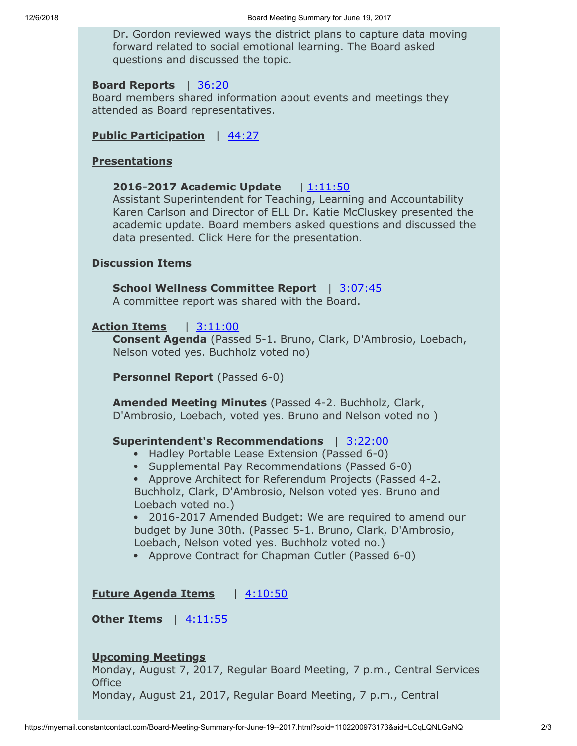Dr. Gordon reviewed ways the district plans to capture data moving forward related to social emotional learning. The Board asked questions and discussed the topic.

## **Board Reports** | [36:20](https://www.youtube.com/watch?v=OXENrtvbYVo&t=36m20s)

Board members shared information about events and meetings they attended as Board representatives.

### **Public Participation** | [44:27](https://www.youtube.com/watch?v=OXENrtvbYVo&t=44m27s)

### **Presentations**

# **2016-2017 Academic Update** | [1:11:50](https://www.youtube.com/watch?v=OXENrtvbYVo&t=1h11m50s)

Assistant Superintendent for Teaching, Learning and Accountability Karen Carlson and Director of ELL Dr. Katie McCluskey presented the academic update. Board members asked questions and discussed the data presented. Click Here for the presentation.

### **Discussion Items**

# **School Wellness Committee Report** | [3:07:45](https://www.youtube.com/watch?v=OXENrtvbYVo&t=3h07m45s)

A committee report was shared with the Board.

### **Action Items** | [3:11:00](https://www.youtube.com/watch?v=OXENrtvbYVo&t=3h11m00s)

**Consent Agenda** (Passed 5-1. Bruno, Clark, D'Ambrosio, Loebach, Nelson voted yes. Buchholz voted no)

**Personnel Report** (Passed 6-0)

**Amended Meeting Minutes** (Passed 4-2. Buchholz, Clark, D'Ambrosio, Loebach, voted yes. Bruno and Nelson voted no )

### **Superintendent's Recommendations** | [3:22:00](https://www.youtube.com/watch?v=OXENrtvbYVo&t=3h22m00s)

- Hadley Portable Lease Extension (Passed 6-0)
- Supplemental Pay Recommendations (Passed 6-0)
- Approve Architect for Referendum Projects (Passed 4-2. Buchholz, Clark, D'Ambrosio, Nelson voted yes. Bruno and Loebach voted no.)

2016-2017 Amended Budget: We are required to amend our budget by June 30th. (Passed 5-1. Bruno, Clark, D'Ambrosio, Loebach, Nelson voted yes. Buchholz voted no.)

• Approve Contract for Chapman Cutler (Passed 6-0)

**Future Agenda Items** | [4:10:50](https://www.youtube.com/watch?v=OXENrtvbYVo&t=4h10m50s)

**Other Items** | [4:11:55](https://www.youtube.com/watch?v=OXENrtvbYVo&t=4h11m55s)

### **Upcoming Meetings**

Monday, August 7, 2017, Regular Board Meeting, 7 p.m., Central Services **Office** 

Monday, August 21, 2017, Regular Board Meeting, 7 p.m., Central